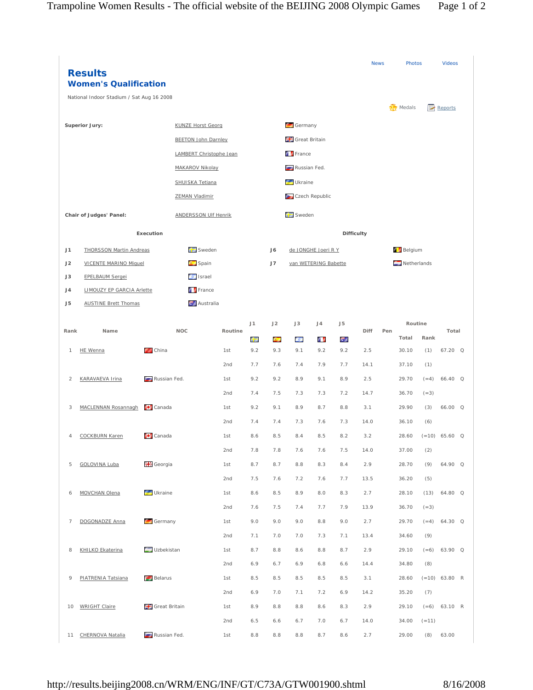